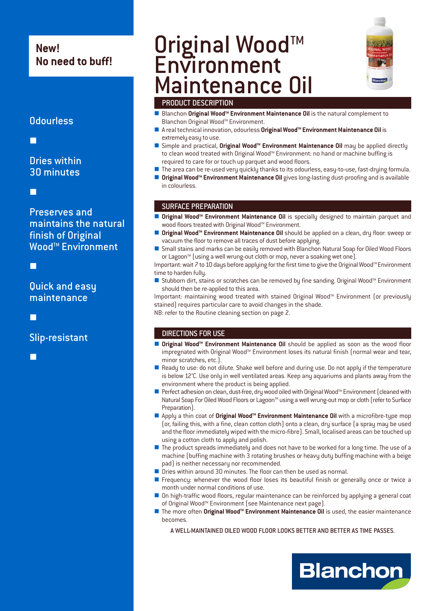# **New! No need to buff!**

## **Odourless**

-

# Dries within 30 minutes

-

Preserves and maintains the natural finish of Original Wood™ Environment

-

## Quick and easy maintenance

-

Slip-resistant

-

# Original Wood<sup>™</sup> **Environment** Maintenance Oil



### PRODUCT DESCRIPTION

- - Blanchon **Original WoodTM Environment Maintenance Oil** is the natural complement to Blanchon Original Wood<sup>™</sup> Environment.
- - A real technical innovation, odourless **Original WoodTM Environment Maintenance Oil** is extremely easy to use.
- -Simple and practical, **Original Wood<sup>™</sup> Environment Maintenance Oil** may be applied directly to clean wood treated with Original Wood™ Environment: no hand or machine buffing is required to care for or touch up parquet and wood floors.
- The area can be re-used very quickly thanks to its odourless, easy-to-use, fast-drying formula.
- Original Wood<sup>™</sup> Environment Maintenance Oil gives long-lasting dust-proofing and is available in colourless.

#### SURFACE PREPARATION

- Original Wood<sup>™</sup> Environment Maintenance Oil is specially designed to maintain parquet and wood floors treated with Original Wood<sup>™</sup> Environment.
- -**Original Wood™ Environment Maintenance Oil** should be applied on a clean, dry floor: sweep or vacuum the floor to remove all traces of dust before applying.
- Small stains and marks can be easily removed with Blanchon Natural Soap for Oiled Wood Floors or Lagoon<sup>™</sup> (using a well wrung-out cloth or mop, never a soaking wet one).

Important: wait 7 to 10 days before applying for the first time to give the Original Wood™ Environment time to harden fully.

■ Stubborn dirt, stains or scratches can be removed by fine sanding. Original Wood<sup>M</sup> Environment should then be re-applied to this area.

Important: maintaining wood treated with stained Original Wood™ Environment (or previouslu stained) requires particular care to avoid changes in the shade. NB: refer to the Routine cleaning section on page 2.

#### DIRECTIONS FOR USE

- -**Original Wood<sup>™</sup> Environment Maintenance Oil** should be applied as soon as the wood floor impregnated with Original Wood™ Environment loses its natural finish (normal wear and tear, minor scratches, etc.).
- - Ready to use: do not dilute. Shake well before and during use. Do not apply if the temperature is below 12°C. Use only in well ventilated areas. Keep any aquariums and plants away from the environment where the product is being applied.
- Perfect adhesion on clean, dust-free, dry wood oiled with Original Wood<sup>™</sup> Environment (cleaned with Natural Soap For Oiled Wood Floors or Lagoon<sup>™</sup> using a well wrung-out mop or cloth (refer to Surface Preparation).
- Apply a thin coat of **Original Wood<sup>M</sup> Environment Maintenance Oil** with a microfibre-type mop (or, failing this, with a fine, clean cotton cloth) onto a clean, dry surface (a spray may be used and the floor immediately wiped with the micro-fibre). Small, localised areas can be touched up using a cotton cloth to apply and polish.
- The product spreads immediately and does not have to be worked for a long time. The use of a machine (buffing machine with 3 rotating brushes or heavy duty buffing machine with a beige pad) is neither necessary nor recommended.
- **Dies within around 30 minutes. The floor can then be used as normal.**
- **E** Frequency: whenever the wood floor loses its beautiful finish or generally once or twice a month under normal conditions of use.
- - On high-traffic wood floors, regular maintenance can be reinforced by applying a general coat of Original Wood™ Environment (see Maintenance next page).
- The more often Original Wood<sup>m</sup> Environment Maintenance Oil is used, the easier maintenance becomes.

A WELL-MAINTAINED OILED WOOD FLOOR LOOKS BETTER AND BETTER AS TIME PASSES.